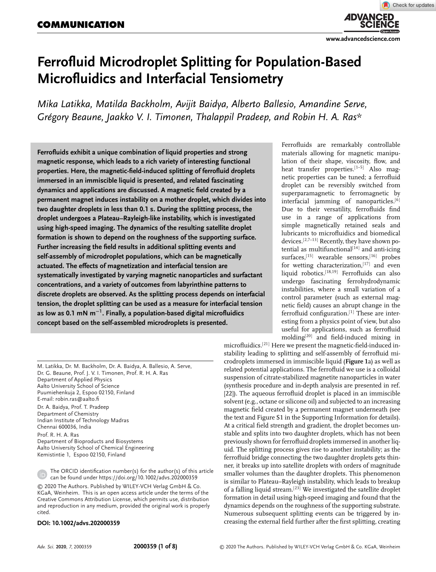**ADVANCED** 

# **Ferrofluid Microdroplet Splitting for Population-Based Microfluidics and Interfacial Tensiometry**

*Mika Latikka, Matilda Backholm, Avijit Baidya, Alberto Ballesio, Amandine Serve, Grégory Beaune, Jaakko V. I. Timonen, Thalappil Pradeep, and Robin H. A. Ras\**

**Ferrofluids exhibit a unique combination of liquid properties and strong magnetic response, which leads to a rich variety of interesting functional properties. Here, the magnetic-field-induced splitting of ferrofluid droplets immersed in an immiscible liquid is presented, and related fascinating dynamics and applications are discussed. A magnetic field created by a permanent magnet induces instability on a mother droplet, which divides into two daughter droplets in less than 0.1 s. During the splitting process, the droplet undergoes a Plateau–Rayleigh-like instability, which is investigated using high-speed imaging. The dynamics of the resulting satellite droplet formation is shown to depend on the roughness of the supporting surface. Further increasing the field results in additional splitting events and self-assembly of microdroplet populations, which can be magnetically actuated. The effects of magnetization and interfacial tension are systematically investigated by varying magnetic nanoparticles and surfactant concentrations, and a variety of outcomes from labyrinthine patterns to discrete droplets are observed. As the splitting process depends on interfacial tension, the droplet splitting can be used as a measure for interfacial tension as low as 0.1 mN m<sup>−</sup><sup>1</sup> . Finally, a population-based digital microfluidics concept based on the self-assembled microdroplets is presented.**

M. Latikka, Dr. M. Backholm, Dr. A. Baidya, A. Ballesio, A. Serve, Dr. G. Beaune, Prof. J. V. I. Timonen, Prof. R. H. A. Ras Department of Applied Physics Aalto University School of Science Puumiehenkuja 2, Espoo 02150, Finland E-mail: robin.ras@aalto.fi Dr. A. Baidya, Prof. T. Pradeep

Department of Chemistry Indian Institute of Technology Madras Chennai 600036, India

Prof. R. H. A. Ras Department of Bioproducts and Biosystems Aalto University School of Chemical Engineering Kemistintie 1, Espoo 02150, Finland

The ORCID identification number(s) for the author(s) of this article can be found under https://doi.org/10.1002/advs.202000359

© 2020 The Authors. Published by WILEY-VCH Verlag GmbH & Co. KGaA, Weinheim. This is an open access article under the terms of the Creative Commons Attribution License, which permits use, distribution and reproduction in any medium, provided the original work is properly cited.

#### **DOI: 10.1002/advs.202000359**

Ferrofluids are remarkably controllable materials allowing for magnetic manipulation of their shape, viscosity, flow, and heat transfer properties.<sup>[1-5]</sup> Also magnetic properties can be tuned; a ferrofluid droplet can be reversibly switched from superparamagnetic to ferromagnetic by interfacial jamming of nanoparticles.<sup>[6]</sup> Due to their versatility, ferrofluids find use in a range of applications from simple magnetically retained seals and lubricants to microfluidics and biomedical devices.[2,7–13] Recently, they have shown potential as multifunctional $[14]$  and anti-icing surfaces,<sup>[15]</sup> wearable sensors,<sup>[16]</sup> probes for wetting characterization.<sup>[17]</sup> and even liquid robotics.[18,19] Ferrofluids can also undergo fascinating ferrohydrodynamic instabilities, where a small variation of a control parameter (such as external magnetic field) causes an abrupt change in the ferrofluid configuration.<sup>[1]</sup> These are interesting from a physics point of view, but also useful for applications, such as ferrofluid molding[20] and field-induced mixing in

microfluidics.[21] Here we present the magnetic-field-induced instability leading to splitting and self-assembly of ferrofluid microdroplets immersed in immiscible liquid (**Figure 1**a) as well as related potential applications. The ferrofluid we use is a colloidal suspension of citrate-stabilized magnetite nanoparticles in water (synthesis procedure and in-depth analysis are presented in ref. [22]). The aqueous ferrofluid droplet is placed in an immiscible solvent (e.g., octane or silicone oil) and subjected to an increasing magnetic field created by a permanent magnet underneath (see the text and Figure S1 in the Supporting Information for details). At a critical field strength and gradient, the droplet becomes unstable and splits into two daughter droplets, which has not been previously shown for ferrofluid droplets immersed in another liquid. The splitting process gives rise to another instability; as the ferrofluid bridge connecting the two daughter droplets gets thinner, it breaks up into satellite droplets with orders of magnitude smaller volumes than the daughter droplets. This phenomenon is similar to Plateau–Rayleigh instability, which leads to breakup of a falling liquid stream.[23] We investigated the satellite droplet formation in detail using high-speed imaging and found that the dynamics depends on the roughness of the supporting substrate. Numerous subsequent splitting events can be triggered by increasing the external field further after the first splitting, creating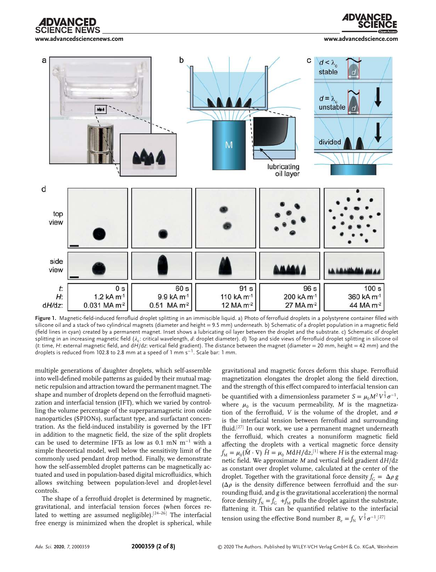**www.advancedsciencenews.com www.advancedscience.com**

**CIENCE NEWS** 





**Figure 1.** Magnetic-field-induced ferrofluid droplet splitting in an immiscible liquid. a) Photo of ferrofluid droplets in a polystyrene container filled with silicone oil and a stack of two cylindrical magnets (diameter and height = 9.5 mm) underneath. b) Schematic of a droplet population in a magnetic field (field lines in cyan) created by a permanent magnet. Inset shows a lubricating oil layer between the droplet and the substrate. c) Schematic of droplet splitting in an increasing magnetic field ( $\lambda_c$ : critical wavelength, *d*: droplet diameter). d) Top and side views of ferrofluid droplet splitting in silicone oil (*t*: time, *H*: external magnetic field, and d*H*/d*z*: vertical field gradient). The distance between the magnet (diameter = 20 mm, height = 42 mm) and the droplets is reduced from 102.8 to 2.8 mm at a speed of 1 mm s−<sup>1</sup> . Scale bar: 1 mm.

multiple generations of daughter droplets, which self-assemble into well-defined mobile patterns as guided by their mutual magnetic repulsion and attraction toward the permanent magnet. The shape and number of droplets depend on the ferrofluid magnetization and interfacial tension (IFT), which we varied by controlling the volume percentage of the superparamagnetic iron oxide nanoparticles (SPIONs), surfactant type, and surfactant concentration. As the field-induced instability is governed by the IFT in addition to the magnetic field, the size of the split droplets can be used to determine IFTs as low as 0.1 mN  $m^{-1}$  with a simple theoretical model, well below the sensitivity limit of the commonly used pendant drop method. Finally, we demonstrate how the self-assembled droplet patterns can be magnetically actuated and used in population-based digital microfluidics, which allows switching between population-level and droplet-level controls.

The shape of a ferrofluid droplet is determined by magnetic, gravitational, and interfacial tension forces (when forces related to wetting are assumed negligible).<sup>[24–26]</sup> The interfacial free energy is minimized when the droplet is spherical, while

gravitational and magnetic forces deform this shape. Ferrofluid magnetization elongates the droplet along the field direction, and the strength of this effect compared to interfacial tension can be quantified with a dimensionless parameter  $S = \mu_0 M^2 V^{\frac{1}{3}} \sigma^{-1}$ , where  $\mu_0$  is the vacuum permeability, *M* is the magnetization of the ferrofluid,  $V$  is the volume of the droplet, and  $\sigma$ is the interfacial tension between ferrofluid and surrounding fluid.<sup>[27]</sup> In our work, we use a permanent magnet underneath the ferrofluid, which creates a nonuniform magnetic field affecting the droplets with a vertical magnetic force density  $f_{\rm M} = \mu_0 (\bar{M} \cdot \nabla) \ \bar{H} = \mu_0 \ M {\rm d}H/{\rm d}z.$ <sup>[1]</sup> where  $H$  is the external magnetic field. We approximate *M* and vertical field gradient d*H*/d*z* as constant over droplet volume, calculated at the center of the droplet. Together with the gravitational force density  $f_G = \Delta \rho g$ ( $\Delta \rho$  is the density difference between ferrofluid and the surrounding fluid, and *g* is the gravitational acceleration) the normal force density  $f_N = f_G + f_M$  pulls the droplet against the substrate, flattening it. This can be quantified relative to the interfacial tension using the effective Bond number  $B_e = \int_{N} V^{\frac{2}{3}} \sigma^{-1}$ .<sup>[27]</sup>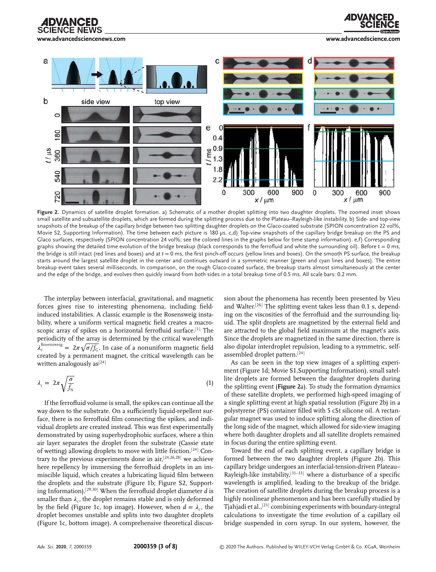**www.advancedsciencenews.com www.advancedscience.com**

**CIENCE NEWS** 





**Figure 2.** Dynamics of satellite droplet formation. a) Schematic of a mother droplet splitting into two daughter droplets. The zoomed inset shows small satellite and subsatellite droplets, which are formed during the splitting process due to the Plateau–Rayleigh-like instability. b) Side- and top-view snapshots of the breakup of the capillary bridge between two splitting daughter droplets on the Glaco-coated substrate (SPION concentration 22 vol%, Movie S2, Supporting Information). The time between each picture is 180 µs. c,d) Top-view snapshots of the capillary bridge breakup on the PS and Glaco surfaces, respectively (SPION concentration 24 vol%; see the colored lines in the graphs below for time stamp information). e,f) Corresponding graphs showing the detailed time evolution of the bridge breakup (black corresponds to the ferrofluid and white the surrounding oil). Before *t* = 0 ms, the bridge is still intact (red lines and boxes) and at *t* = 0 ms, the first pinch-off occurs (yellow lines and boxes). On the smooth PS surface, the breakup starts around the largest satellite droplet in the center and continues outward in a symmetric manner (green and cyan lines and boxes). The entire breakup event takes several milliseconds. In comparison, on the rough Glaco-coated surface, the breakup starts almost simultaneously at the center and the edge of the bridge, and evolves then quickly inward from both sides in a total breakup time of 0.5 ms. All scale bars: 0.2 mm.

The interplay between interfacial, gravitational, and magnetic forces gives rise to interesting phenomena, including fieldinduced instabilities. A classic example is the Rosensweig instability, where a uniform vertical magnetic field creates a macroscopic array of spikes on a horizontal ferrofluid surface.<sup>[1]</sup> The periodicity of the array is determined by the critical wavelength  $\lambda_c^{\text{Rosensweig}} = 2\pi \sqrt{\sigma/f_G}$ . In case of a nonuniform magnetic field created by a permanent magnet, the critical wavelength can be written analogously as<sup>[24]</sup>

$$
\lambda_c = 2\pi \sqrt{\frac{\sigma}{f_N}} \tag{1}
$$

If the ferrofluid volume is small, the spikes can continue all the way down to the substrate. On a sufficiently liquid-repellent surface, there is no ferrofluid film connecting the spikes, and individual droplets are created instead. This was first experimentally demonstrated by using superhydrophobic surfaces, where a thin air layer separates the droplet from the substrate (Cassie state of wetting) allowing droplets to move with little friction.[24] Contrary to the previous experiments done in air,[24,26,28] we achieve here repellency by immersing the ferrofluid droplets in an immiscible liquid, which creates a lubricating liquid film between the droplets and the substrate (Figure 1b; Figure S2, Supporting Information).[29,30] When the ferrofluid droplet diameter *d* is smaller than  $\lambda_c$ , the droplet remains stable and is only deformed by the field (Figure 1c, top image). However, when  $d = \lambda_c$ , the droplet becomes unstable and splits into two daughter droplets (Figure 1c, bottom image). A comprehensive theoretical discussion about the phenomena has recently been presented by Vieu and Walter.<sup>[26]</sup> The splitting event takes less than  $0.1$  s, depending on the viscosities of the ferrofluid and the surrounding liquid. The split droplets are magnetized by the external field and are attracted to the global field maximum at the magnet's axis. Since the droplets are magnetized in the same direction, there is also dipolar interdroplet repulsion, leading to a symmetric, selfassembled droplet pattern.[24]

As can be seen in the top view images of a splitting experiment (Figure 1d; Movie S1,Supporting Information), small satellite droplets are formed between the daughter droplets during the splitting event (**Figure 2**a). To study the formation dynamics of these satellite droplets, we performed high-speed imaging of a single splitting event at high spatial resolution (Figure 2b) in a polystyrene (PS) container filled with 5 cSt silicone oil. A rectangular magnet was used to induce splitting along the direction of the long side of the magnet, which allowed for side-view imaging where both daughter droplets and all satellite droplets remained in focus during the entire splitting event.

Toward the end of each splitting event, a capillary bridge is formed between the two daughter droplets (Figure 2b). This capillary bridge undergoes an interfacial-tension-driven Plateau– Rayleigh-like instability, $[31-33]$  where a disturbance of a specific wavelength is amplified, leading to the breakup of the bridge. The creation of satellite droplets during the breakup process is a highly nonlinear phenomenon and has been carefully studied by Tjahjadi et al.,[23] combining experiments with boundary-integral calculations to investigate the time evolution of a capillary oil bridge suspended in corn syrup. In our system, however, the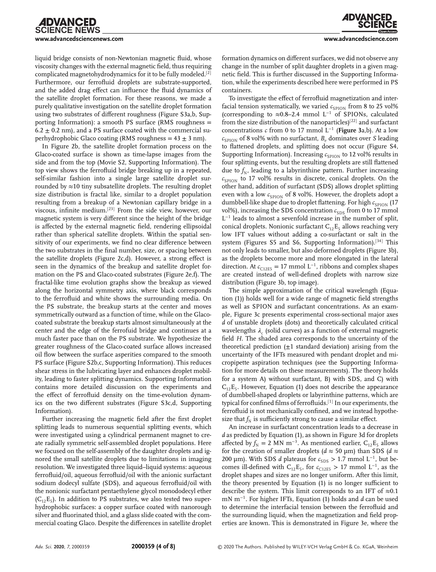liquid bridge consists of non-Newtonian magnetic fluid, whose viscosity changes with the external magnetic field, thus requiring complicated magnetohydrodynamics for it to be fully modeled.[2] Furthermore, our ferrofluid droplets are substrate-supported, and the added drag effect can influence the fluid dynamics of the satellite droplet formation. For these reasons, we made a purely qualitative investigation on the satellite droplet formation using two substrates of different roughness (Figure S3a,b, Supporting Information): a smooth PS surface (RMS roughness =  $6.2 \pm 0.2$  nm), and a PS surface coated with the commercial superhydrophobic Glaco coating (RMS roughness =  $43 \pm 3$  nm).

In Figure 2b, the satellite droplet formation process on the Glaco-coated surface is shown as time-lapse images from the side and from the top (Movie S2, Supporting Information). The top view shows the ferrofluid bridge breaking up in a repeated, self-similar fashion into a single large satellite droplet surrounded by  $\approx$ 10 tiny subsatellite droplets. The resulting droplet size distribution is fractal like, similar to a droplet population resulting from a breakup of a Newtonian capillary bridge in a viscous, infinite medium.[23] From the side view, however, our magnetic system is very different since the height of the bridge is affected by the external magnetic field, rendering ellipsoidal rather than spherical satellite droplets. Within the spatial sensitivity of our experiments, we find no clear difference between the two substrates in the final number, size, or spacing between the satellite droplets (Figure 2c,d). However, a strong effect is seen in the dynamics of the breakup and satellite droplet formation on the PS and Glaco-coated substrates (Figure 2e,f). The fractal-like time evolution graphs show the breakup as viewed along the horizontal symmetry axis, where black corresponds to the ferrofluid and white shows the surrounding media. On the PS substrate, the breakup starts at the center and moves symmetrically outward as a function of time, while on the Glacocoated substrate the breakup starts almost simultaneously at the center and the edge of the ferrofuid bridge and continues at a much faster pace than on the PS substrate. We hypothesize the greater roughness of the Glaco-coated surface allows increased oil flow between the surface asperities compared to the smooth PS surface (Figure S2b,c, Supporting Information). This reduces shear stress in the lubricating layer and enhances droplet mobility, leading to faster splitting dynamics. Supporting Information contains more detailed discussion on the experiments and the effect of ferrofluid density on the time-evolution dynamics on the two different substrates (Figure S3c,d, Supporting Information).

Further increasing the magnetic field after the first droplet splitting leads to numerous sequential splitting events, which were investigated using a cylindrical permanent magnet to create radially symmetric self-assembled droplet populations. Here we focused on the self-assembly of the daughter droplets and ignored the small satellite droplets due to limitations in imaging resolution. We investigated three liquid–liquid systems: aqueous ferrofluid/oil, aqueous ferrofluid/oil with the anionic surfactant sodium dodecyl sulfate (SDS), and aqueous ferrofluid/oil with the nonionic surfactant pentaethylene glycol monododecyl ether  $(C_{12}E_5)$ . In addition to PS substrates, we also tested two superhydrophobic surfaces: a copper surface coated with nanorough silver and fluorinated thiol, and a glass slide coated with the commercial coating Glaco. Despite the differences in satellite droplet

formation dynamics on different surfaces, we did not observe any change in the number of split daughter droplets in a given magnetic field. This is further discussed in the Supporting Information, while the experiments described here were performed in PS containers.

To investigate the effect of ferrofluid magnetization and interfacial tension systematically, we varied  $c_{\text{cplON}}$  from 8 to 25 vol% (corresponding to ≈0.8–2.4 mmol L<sup>−</sup><sup>1</sup> of SPIONs, calculated from the size distribution of the nanoparticles)<sup>[22]</sup> and surfactant concentrations *c* from 0 to 17 mmol L<sup>−</sup><sup>1</sup> (**Figure 3**a,b). At a low  $c_{SPION}$  of 8 vol% with no surfactant,  $B_e$  dominates over *S* leading to flattened droplets, and splitting does not occur (Figure S4, Supporting Information). Increasing  $c_{\text{SPION}}$  to 12 vol% results in four splitting events, but the resulting droplets are still flattened due to  $f_{\rm N}$ , leading to a labyrinthine pattern. Further increasing  $c_{\text{SPION}}$  to 17 vol% results in discrete, conical droplets. On the other hand, addition of surfactant (SDS) allows droplet splitting even with a low  $c_{\text{SPION}}$  of 8 vol%. However, the droplets adopt a dumbbell-like shape due to droplet flattening. For high  $c_{\text{SPION}}$  (17 vol%), increasing the SDS concentration  $c_{SDS}$  from 0 to 17 mmol L −1 leads to almost a sevenfold increase in the number of split, conical droplets. Nonionic surfactant  $C_{12}E_5$  allows reaching very low IFT values without adding a co-surfactant or salt in the system (Figures S5 and S6, Supporting Information).<sup>[34]</sup> This not only leads to smaller, but also deformed droplets (Figure 3b), as the droplets become more and more elongated in the lateral direction. At  $c_{C12ES} = 17$  mmol L<sup>-1</sup>, ribbons and complex shapes are created instead of well-defined droplets with narrow size distribution (Figure 3b, top image).

The simple approximation of the critical wavelength (Equation (1)) holds well for a wide range of magnetic field strengths as well as SPION and surfactant concentrations. As an example, Figure 3c presents experimental cross-sectional major axes *d* of unstable droplets (dots) and theoretically calculated critical wavelengths  $\lambda_{\rm c}$  (solid curves) as a function of external magnetic field *H*. The shaded area corresponds to the uncertainty of the theoretical prediction  $(\pm 1)$  standard deviation) arising from the uncertainty of the IFTs measured with pendant droplet and micropipette aspiration techniques (see the Supporting Information for more details on these measurements). The theory holds for a system A) without surfactant, B) with SDS, and C) with  $C_{12}E_5$ . However, Equation (1) does not describe the appearance of dumbbell-shaped droplets or labyrinthine patterns, which are typical for confined films of ferrofluids.[1] In our experiments, the ferrofluid is not mechanically confined, and we instead hypothesize that  $f_N$  is sufficiently strong to cause a similar effect.

An increase in surfactant concentration leads to a decrease in *d* as predicted by Equation (1), as shown in Figure 3d for droplets affected by  $f_N = 2$  MN m<sup>-3</sup>. As mentioned earlier, C<sub>12</sub>E<sub>5</sub> allows for the creation of smaller droplets ( $d \approx 50 \text{ }\mu\text{m}$ ) than SDS ( $d \approx$ 200 μm). With SDS *d* plateaus for  $c_{SDS} > 1.7$  mmol L<sup>-1</sup>, but becomes ill-defined with  $C_{12}E_5$ , for  $c_{C12E5} > 17$  mmol L<sup>-1</sup>, as the droplet shapes and sizes are no longer uniform. After this limit, the theory presented by Equation (1) is no longer sufficient to describe the system. This limit corresponds to an IFT of  $\approx 0.1$ mN m<sup>−</sup><sup>1</sup> . For higher IFTs, Equation (1) holds and *d* can be used to determine the interfacial tension between the ferrofluid and the surrounding liquid, when the magnetization and field properties are known. This is demonstrated in Figure 3e, where the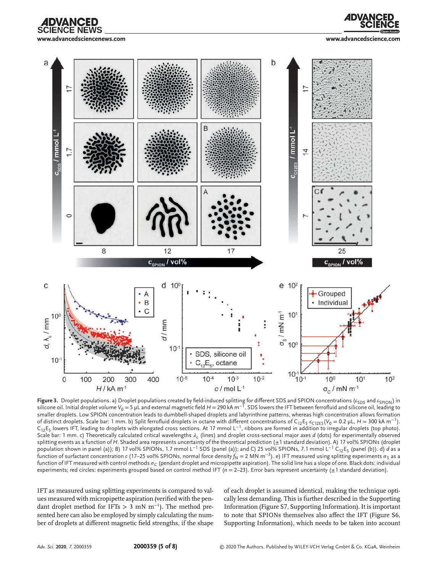



**www.advancedsciencenews.com www.advancedscience.com**



**Figure 3.** Droplet populations. a) Droplet populations created by field-induced splitting for different SDS and SPION concentrations ( $c_{\rm{SDS}}$  and  $c_{\rm{SPION}}$ ) in silicone oil. Initial droplet volume V<sub>0</sub> = 5 µL and external magnetic field *H* = 290 kA m<sup>−1</sup>. SDS lowers the IFT between ferrofluid and silicone oil, leading to smaller droplets. Low SPION concentration leads to dumbbell-shaped droplets and labyrinthine patterns, whereas high concentration allows formation of distinct droplets. Scale bar: 1 mm. b) Split ferrofluid droplets in octane with different concentrations of C<sub>12</sub>E<sub>5</sub> c<sub>C12E5</sub>(V<sub>0</sub> = 0.2 μL, *H* = 300 kA m<sup>−1</sup>).  $C_{12}E_5$  lowers IFT, leading to droplets with elongated cross sections. At 17 mmol L<sup>−1</sup>, ribbons are formed in addition to irregular droplets (top photo). Scale bar: 1 mm. c) Theoretically calculated critical wavelengths  $\lambda_\mathsf{c}$  (lines) and droplet cross-sectional major axes  $d$  (dots) for experimentally observed splitting events as a function of H. Shaded area represents uncertainty of the theoretical prediction ( $\pm 1$  standard deviation). A) 17 vol% SPIONs (droplet population shown in panel (a)); B) 17 vol% SPIONs, 1.7 mmol L<sup>−1</sup> SDS (panel (a)); and C) 25 vol% SPIONs, 7.1 mmol L<sup>−1</sup> C<sub>12</sub>E<sub>5</sub> (panel (b)). d) *d* as a function of surfactant concentration  $c$  (17–25 vol% SPIONs, normal force density $f_{\sf N}$  = 2 MN m<sup>−3</sup>). e) IFT measured using splitting experiments  $\sigma_{\sf S}$  as a function of IFT measured with control methods  $\sigma_{\sf C}$  (pendant droplet and micropipette aspiration). The solid line has a slope of one. Black dots: individual experiments; red circles: experiments grouped based on control method IFT (*n* = 2-23). Error bars represent uncertainty ( $\pm$ 1 standard deviation).

IFT as measured using splitting experiments is compared to values measured with micropipette aspiration (verified with the pendant droplet method for IFTs *>* 3 mN m<sup>−</sup><sup>1</sup> ). The method presented here can also be employed by simply calculating the number of droplets at different magnetic field strengths, if the shape

of each droplet is assumed identical, making the technique optically less demanding. This is further described in the Supporting Information (Figure S7, Supporting Information). It is important to note that SPIONs themselves also affect the IFT (Figure S6, Supporting Information), which needs to be taken into account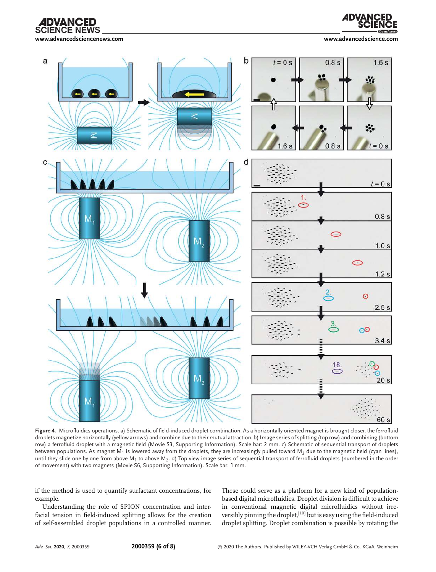**SCIENCE NEWS** 



**www.advancedsciencenews.com www.advancedscience.com**



**Figure 4.** Microfluidics operations. a) Schematic of field-induced droplet combination. As a horizontally oriented magnet is brought closer, the ferrofluid droplets magnetize horizontally (yellow arrows) and combine due to their mutual attraction. b) Image series of splitting (top row) and combining (bottom row) a ferrofluid droplet with a magnetic field (Movie S3, Supporting Information). Scale bar: 2 mm. c) Schematic of sequential transport of droplets between populations. As magnet M<sub>1</sub> is lowered away from the droplets, they are increasingly pulled toward M<sub>2</sub> due to the magnetic field (cyan lines), until they slide one by one from above M<sub>1</sub> to above M<sub>2</sub>. d) Top-view image series of sequential transport of ferrofluid droplets (numbered in the order of movement) with two magnets (Movie S6, Supporting Information). Scale bar: 1 mm.

if the method is used to quantify surfactant concentrations, for example.

Understanding the role of SPION concentration and interfacial tension in field-induced splitting allows for the creation of self-assembled droplet populations in a controlled manner. These could serve as a platform for a new kind of populationbased digital microfluidics. Droplet division is difficult to achieve in conventional magnetic digital microfluidics without irreversibly pinning the droplet, [10] but is easy using the field-induced droplet splitting. Droplet combination is possible by rotating the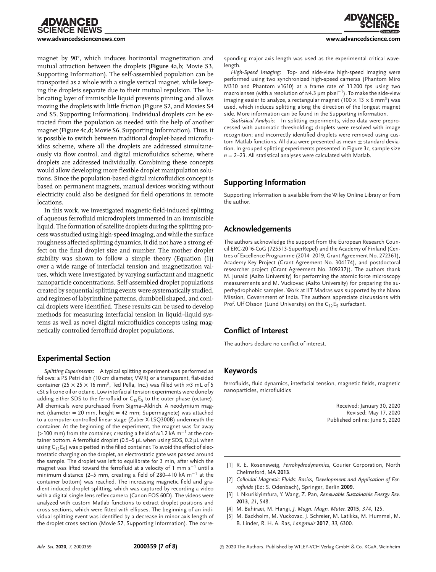## **CIENCE NEWS www.advancedsciencenews.com www.advancedscience.com**

magnet by 90°, which induces horizontal magnetization and mutual attraction between the droplets (**Figure 4**a,b; Movie S3, Supporting Information). The self-assembled population can be transported as a whole with a single vertical magnet, while keeping the droplets separate due to their mutual repulsion. The lubricating layer of immiscible liquid prevents pinning and allows moving the droplets with little friction (Figure S2, and Movies S4 and S5, Supporting Information). Individual droplets can be extracted from the population as needed with the help of another magnet (Figure 4c,d; Movie S6, Supporting Information). Thus, it is possible to switch between traditional droplet-based microfluidics scheme, where all the droplets are addressed simultaneously via flow control, and digital microfluidics scheme, where droplets are addressed individually. Combining these concepts would allow developing more flexible droplet manipulation solutions. Since the population-based digital microfluidics concept is based on permanent magnets, manual devices working without electricity could also be designed for field operations in remote locations.

In this work, we investigated magnetic-field-induced splitting of aqueous ferrofluid microdroplets immersed in an immiscible liquid. The formation of satellite droplets during the splitting process was studied using high-speed imaging, and while the surface roughness affected splitting dynamics, it did not have a strong effect on the final droplet size and number. The mother droplet stability was shown to follow a simple theory (Equation (1)) over a wide range of interfacial tension and magnetization values, which were investigated by varying surfactant and magnetic nanoparticle concentrations. Self-assembled droplet populations created by sequential splitting events were systematically studied, and regimes of labyrinthine patterns, dumbbell shaped, and conical droplets were identified. These results can be used to develop methods for measuring interfacial tension in liquid–liquid systems as well as novel digital microfluidics concepts using magnetically controlled ferrofluid droplet populations.

### **Experimental Section**

*Splitting Experiments*: A typical splitting experiment was performed as follows: a PS Petri dish (10 cm diameter, VWR) or a transparent, flat-sided container (25  $\times$  25  $\times$  16 mm<sup>3</sup>, Ted Pella, Inc.) was filled with  $\approx$ 3 mL of 5 cSt silicone oil or octane. Low interfacial tension experiments were done by adding either SDS to the ferrofluid or  $C_{12}E_5$  to the outer phase (octane). All chemicals were purchased from Sigma–Aldrich. A neodymium magnet (diameter = 20 mm, height = 42 mm; Supermagnete) was attached to a computer-controlled linear stage (Zaber X-LSQ300B) underneath the container. At the beginning of the experiment, the magnet was far away (*>*100 mm) from the container, creating a field of ≈1.2 kA m−<sup>1</sup> at the container bottom. A ferrofluid droplet (0.5–5 µL when using SDS, 0.2 µL when using C $_{12}$ E<sub>5</sub>) was pipetted in the filled container. To avoid the effect of electrostatic charging on the droplet, an electrostatic gate was passed around the sample. The droplet was left to equilibrate for 3 min, after which the magnet was lifted toward the ferrofluid at a velocity of 1 mm  $\mathsf{s}^{-1}$  until a minimum distance (2–5 mm, creating a field of 280–410 kA m−<sup>1</sup> at the container bottom) was reached. The increasing magnetic field and gradient induced droplet splitting, which was captured by recording a video with a digital single-lens reflex camera (Canon EOS 60D). The videos were analyzed with custom Matlab functions to extract droplet positions and cross sections, which were fitted with ellipses. The beginning of an individual splitting event was identified by a decrease in minor axis length of the droplet cross section (Movie S7, Supporting Information). The corre-

sponding major axis length was used as the experimental critical wavelength.

*High-Speed Imaging*: Top- and side-view high-speed imaging were performed using two synchronized high-speed cameras (Phantom Miro M310 and Phantom v1610) at a frame rate of 11 200 fps using two macrolenses (with a resolution of ≈4.3 µm pixel−<sup>1</sup> ). To make the side-view imaging easier to analyze, a rectangular magnet (100  $\times$  13  $\times$  6 mm $^3)$  was used, which induces splitting along the direction of the longest magnet side. More information can be found in the Supporting information.

*Statistical Analysis*: In splitting experiments, video data were preprocessed with automatic thresholding; droplets were resolved with image recognition; and incorrectly identified droplets were removed using custom Matlab functions. All data were presented as mean  $\pm$  standard deviation. In grouped splitting experiments presented in Figure 3c, sample size  $n = 2-23$ . All statistical analyses were calculated with Matlab.

### **Supporting Information**

Supporting Information is available from the Wiley Online Library or from the author.

#### **Acknowledgements**

The authors acknowledge the support from the European Research Council ERC-2016-CoG (725513-SuperRepel) and the Academy of Finland (Centres of Excellence Programme (2014–2019, Grant Agreement No. 272361), Academy Key Project (Grant Agreement No. 304174), and postdoctoral researcher project (Grant Agreement No. 309237)). The authors thank M. Junaid (Aalto University) for performing the atomic force microscopy measurements and M. Vuckovac (Aalto University) for preparing the superhydrophobic samples. Work at IIT Madras was supported by the Nano Mission, Government of India. The authors appreciate discussions with Prof. Ulf Olsson (Lund University) on the  $C_{12}E_5$  surfactant.

### **Conflict of Interest**

The authors declare no conflict of interest.

#### **Keywords**

ferrofluids, fluid dynamics, interfacial tension, magnetic fields, magnetic nanoparticles, microfluidics

> Received: January 30, 2020 Revised: May 17, 2020 Published online: June 9, 2020

- [1] R. E. Rosensweig, *Ferrohydrodynamics*, Courier Corporation, North Chelmsford, MA **2013**.
- [2] *Colloidal Magnetic Fluids: Basics, Development and Application of Ferrofluids* (Ed: S. Odenbach), Springer, Berlin **2009**.
- [3] I. Nkurikiyimfura, Y. Wang, Z. Pan, *Renewable Sustainable Energy Rev.* **2013**, *21*, 548.
- [4] M. Bahiraei, M. Hangi, *J. Magn. Magn. Mater.* **2015**, *374*, 125.
- [5] M. Backholm, M. Vuckovac, J. Schreier, M. Latikka, M. Hummel, M. B. Linder, R. H. A. Ras, *Langmuir* **2017**, *33*, 6300.